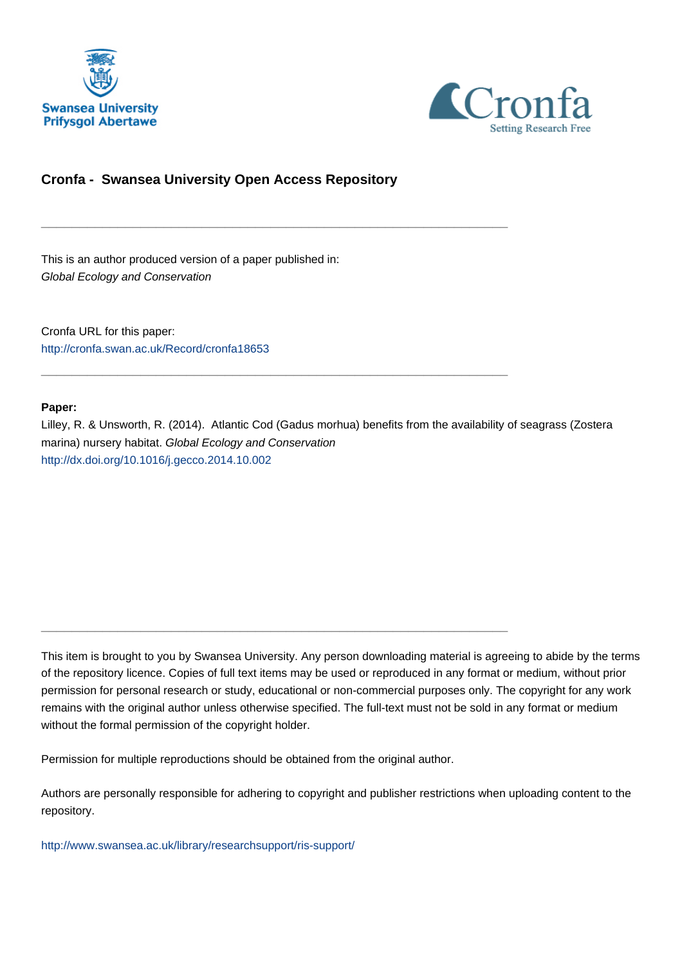



# **Cronfa - Swansea University Open Access Repository**

\_\_\_\_\_\_\_\_\_\_\_\_\_\_\_\_\_\_\_\_\_\_\_\_\_\_\_\_\_\_\_\_\_\_\_\_\_\_\_\_\_\_\_\_\_\_\_\_\_\_\_\_\_\_\_\_\_\_\_\_\_

\_\_\_\_\_\_\_\_\_\_\_\_\_\_\_\_\_\_\_\_\_\_\_\_\_\_\_\_\_\_\_\_\_\_\_\_\_\_\_\_\_\_\_\_\_\_\_\_\_\_\_\_\_\_\_\_\_\_\_\_\_

\_\_\_\_\_\_\_\_\_\_\_\_\_\_\_\_\_\_\_\_\_\_\_\_\_\_\_\_\_\_\_\_\_\_\_\_\_\_\_\_\_\_\_\_\_\_\_\_\_\_\_\_\_\_\_\_\_\_\_\_\_

This is an author produced version of a paper published in: Global Ecology and Conservation

Cronfa URL for this paper: <http://cronfa.swan.ac.uk/Record/cronfa18653>

# **Paper:**

Lilley, R. & Unsworth, R. (2014). Atlantic Cod (Gadus morhua) benefits from the availability of seagrass (Zostera marina) nursery habitat. Global Ecology and Conservation <http://dx.doi.org/10.1016/j.gecco.2014.10.002>

This item is brought to you by Swansea University. Any person downloading material is agreeing to abide by the terms of the repository licence. Copies of full text items may be used or reproduced in any format or medium, without prior permission for personal research or study, educational or non-commercial purposes only. The copyright for any work remains with the original author unless otherwise specified. The full-text must not be sold in any format or medium without the formal permission of the copyright holder.

Permission for multiple reproductions should be obtained from the original author.

Authors are personally responsible for adhering to copyright and publisher restrictions when uploading content to the repository.

[http://www.swansea.ac.uk/library/researchsupport/ris-support/](http://www.swansea.ac.uk/library/researchsupport/ris-support/ )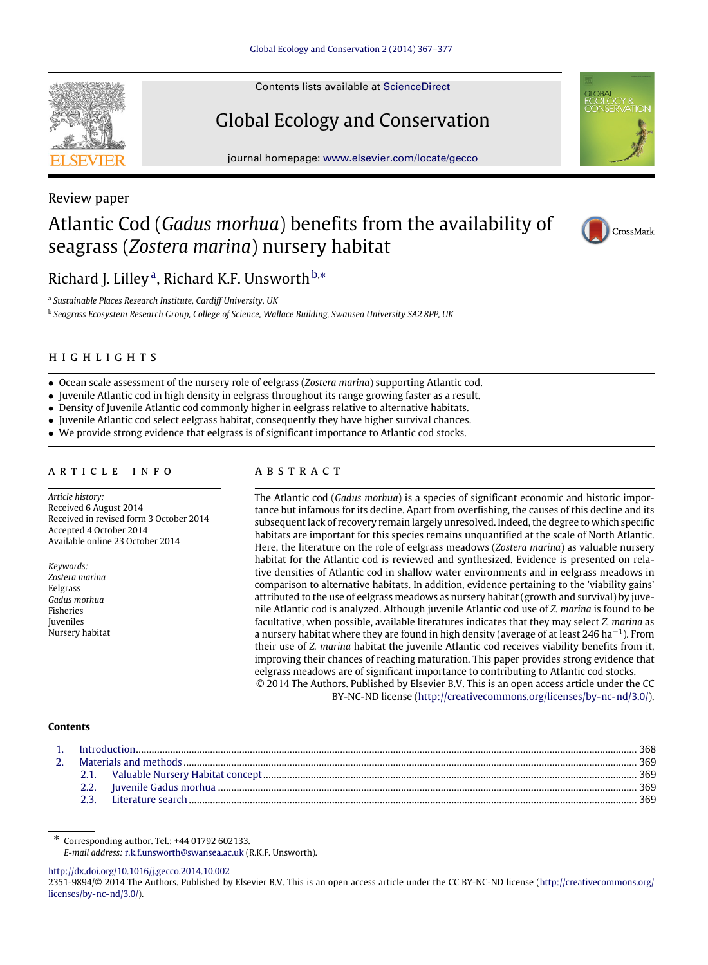

Contents lists available at ScienceDirect

# Global Ecology and Conservation

journal homepage: www.elsevier.com/locate/gecco



# Review paper Atlantic Cod (*Gadus morhua*) benefits from the availability of seagrass (*Zostera marina*) nursery habitat



Richard J. Lilley<sup>a</sup>, Richard K.F. Unsworth b,\*

a *Sustainable Places Research Institute, Cardiff University, UK*

b *Seagrass Ecosystem Research Group, College of Science, Wallace Building, Swansea University SA2 8PP, UK*

# h i g h l i g h t s

- Ocean scale assessment of the nursery role of eelgrass (*Zostera marina*) supporting Atlantic cod.
- Juvenile Atlantic cod in high density in eelgrass throughout its range growing faster as a result.
- Density of Juvenile Atlantic cod commonly higher in eelgrass relative to alternative habitats.
- Juvenile Atlantic cod select eelgrass habitat, consequently they have higher survival chances.
- We provide strong evidence that eelgrass is of significant importance to Atlantic cod stocks.

## a r t i c l e i n f o

*Article history:* Received 6 August 2014 Received in revised form 3 October 2014 Accepted 4 October 2014 Available online 23 October 2014

*Keywords: Zostera marina* Eelgrass *Gadus morhua* Fisheries Juveniles Nursery habitat

# a b s t r a c t

The Atlantic cod (*Gadus morhua*) is a species of significant economic and historic importance but infamous for its decline. Apart from overfishing, the causes of this decline and its subsequent lack of recovery remain largely unresolved. Indeed, the degree to which specific habitats are important for this species remains unquantified at the scale of North Atlantic. Here, the literature on the role of eelgrass meadows (*Zostera marina*) as valuable nursery habitat for the Atlantic cod is reviewed and synthesized. Evidence is presented on relative densities of Atlantic cod in shallow water environments and in eelgrass meadows in comparison to alternative habitats. In addition, evidence pertaining to the 'viability gains' attributed to the use of eelgrass meadows as nursery habitat (growth and survival) by juvenile Atlantic cod is analyzed. Although juvenile Atlantic cod use of *Z. marina* is found to be facultative, when possible, available literatures indicates that they may select *Z. marina* as a nursery habitat where they are found in high density (average of at least 246 ha<sup>-1</sup>). From their use of *Z. marina* habitat the juvenile Atlantic cod receives viability benefits from it, improving their chances of reaching maturation. This paper provides strong evidence that eelgrass meadows are of significant importance to contributing to Atlantic cod stocks. © 2014 The Authors. Published by Elsevier B.V. This is an open access article under the CC

BY-NC-ND license (http://creativecommons.org/licenses/by-nc-nd/3.0/).

#### **Contents**

http://dx.doi.org/10.1016/j.gecco.2014.10.002

<sup>∗</sup> Corresponding author. Tel.: +44 01792 602133.

*E-mail address:* r.k.f.unsworth@swansea.ac.uk (R.K.F. Unsworth).

<sup>2351-9894/</sup>© 2014 The Authors. Published by Elsevier B.V. This is an open access article under the CC BY-NC-ND license (http://creativecommons.org/ licenses/by-nc-nd/3.0/).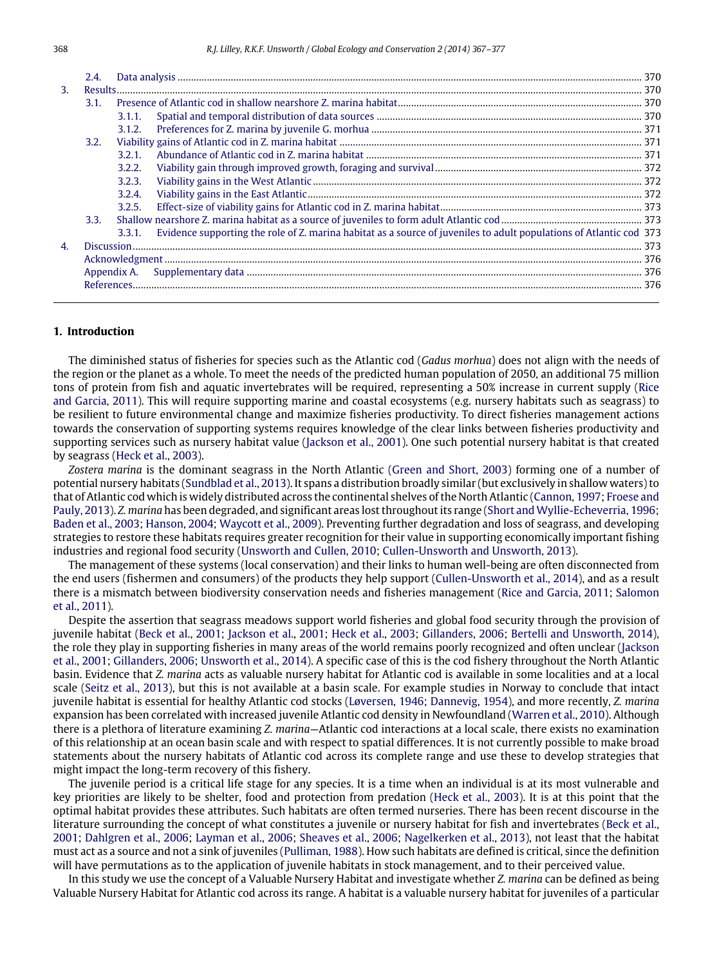|    | 2.4. |        |                                                                                                                     |  |  |
|----|------|--------|---------------------------------------------------------------------------------------------------------------------|--|--|
| 3. |      |        |                                                                                                                     |  |  |
|    | 3.1. |        |                                                                                                                     |  |  |
|    |      | 3.1.1. |                                                                                                                     |  |  |
|    |      | 3.1.2. |                                                                                                                     |  |  |
|    | 3.2. |        |                                                                                                                     |  |  |
|    |      | 3.2.1. |                                                                                                                     |  |  |
|    |      | 3.2.2. |                                                                                                                     |  |  |
|    |      | 3.2.3. |                                                                                                                     |  |  |
|    |      | 3.2.4. |                                                                                                                     |  |  |
|    |      | 3.2.5. |                                                                                                                     |  |  |
|    | 3.3. |        |                                                                                                                     |  |  |
|    |      | 3.3.1. | Evidence supporting the role of Z, marina habitat as a source of juveniles to adult populations of Atlantic cod 373 |  |  |
| 4. |      |        |                                                                                                                     |  |  |
|    |      |        |                                                                                                                     |  |  |
|    |      |        |                                                                                                                     |  |  |
|    |      |        |                                                                                                                     |  |  |
|    |      |        |                                                                                                                     |  |  |

#### **1. Introduction**

The diminished status of fisheries for species such as the Atlantic cod (*Gadus morhua*) does not align with the needs of the region or the planet as a whole. To meet the needs of the predicted human population of 2050, an additional 75 million tons of protein from fish and aquatic invertebrates will be required, representing a 50% increase in current supply (Rice and Garcia, 2011). This will require supporting marine and coastal ecosystems (e.g. nursery habitats such as seagrass) to be resilient to future environmental change and maximize fisheries productivity. To direct fisheries management actions towards the conservation of supporting systems requires knowledge of the clear links between fisheries productivity and supporting services such as nursery habitat value (Jackson et al., 2001). One such potential nursery habitat is that created by seagrass (Heck et al., 2003).

*Zostera marina* is the dominant seagrass in the North Atlantic (Green and Short, 2003) forming one of a number of potential nursery habitats (Sundblad et al., 2013). It spans a distribution broadly similar (but exclusively in shallow waters) to that of Atlantic cod which is widely distributed across the continental shelves of the North Atlantic (Cannon, 1997; Froese and Pauly, 2013). *Z. marina* has been degraded, and significant areas lost throughout its range (Short and Wyllie-Echeverria, 1996; Baden et al., 2003; Hanson, 2004; Waycott et al., 2009). Preventing further degradation and loss of seagrass, and developing strategies to restore these habitats requires greater recognition for their value in supporting economically important fishing industries and regional food security (Unsworth and Cullen, 2010; Cullen-Unsworth and Unsworth, 2013).

The management of these systems (local conservation) and their links to human well-being are often disconnected from the end users (fishermen and consumers) of the products they help support (Cullen-Unsworth et al., 2014), and as a result there is a mismatch between biodiversity conservation needs and fisheries management (Rice and Garcia, 2011; Salomon et al., 2011).

Despite the assertion that seagrass meadows support world fisheries and global food security through the provision of juvenile habitat (Beck et al., 2001; Jackson et al., 2001; Heck et al., 2003; Gillanders, 2006; Bertelli and Unsworth, 2014), the role they play in supporting fisheries in many areas of the world remains poorly recognized and often unclear (Jackson et al., 2001; Gillanders, 2006; Unsworth et al., 2014). A specific case of this is the cod fishery throughout the North Atlantic basin. Evidence that *Z. marina* acts as valuable nursery habitat for Atlantic cod is available in some localities and at a local scale (Seitz et al., 2013), but this is not available at a basin scale. For example studies in Norway to conclude that intact juvenile habitat is essential for healthy Atlantic cod stocks (Løversen, 1946; Dannevig, 1954), and more recently, *Z. marina* expansion has been correlated with increased juvenile Atlantic cod density in Newfoundland (Warren et al., 2010). Although there is a plethora of literature examining *Z. marina*—Atlantic cod interactions at a local scale, there exists no examination of this relationship at an ocean basin scale and with respect to spatial differences. It is not currently possible to make broad statements about the nursery habitats of Atlantic cod across its complete range and use these to develop strategies that might impact the long-term recovery of this fishery.

The juvenile period is a critical life stage for any species. It is a time when an individual is at its most vulnerable and key priorities are likely to be shelter, food and protection from predation (Heck et al., 2003). It is at this point that the optimal habitat provides these attributes. Such habitats are often termed nurseries. There has been recent discourse in the literature surrounding the concept of what constitutes a juvenile or nursery habitat for fish and invertebrates (Beck et al., 2001; Dahlgren et al., 2006; Layman et al., 2006; Sheaves et al., 2006; Nagelkerken et al., 2013), not least that the habitat must act as a source and not a sink of juveniles (Pulliman, 1988). How such habitats are defined is critical, since the definition will have permutations as to the application of juvenile habitats in stock management, and to their perceived value.

In this study we use the concept of a Valuable Nursery Habitat and investigate whether *Z. marina* can be defined as being Valuable Nursery Habitat for Atlantic cod across its range. A habitat is a valuable nursery habitat for juveniles of a particular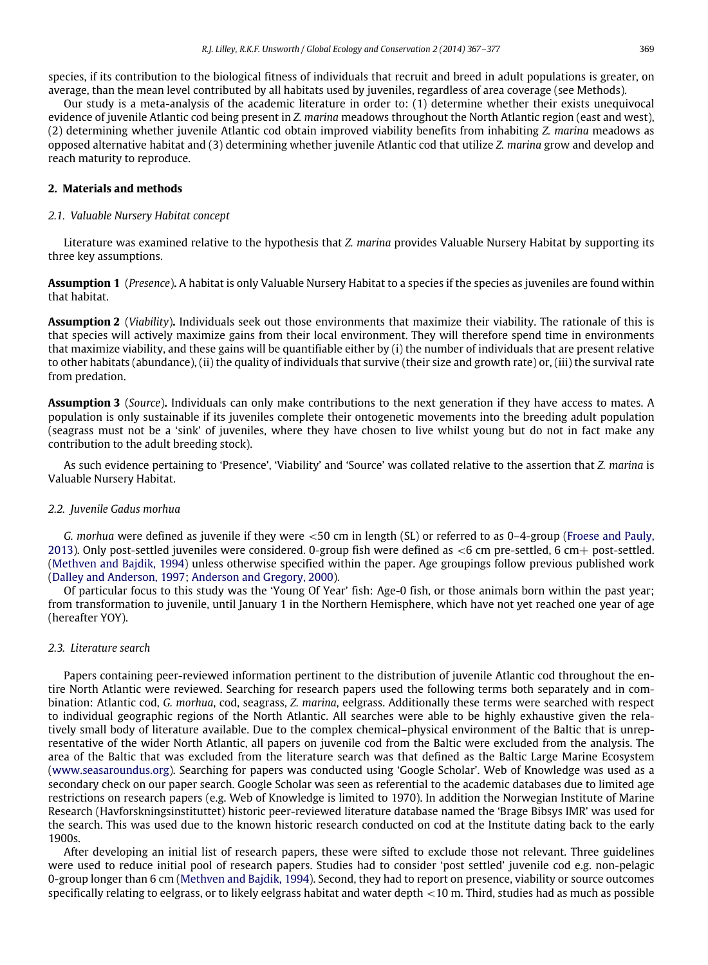species, if its contribution to the biological fitness of individuals that recruit and breed in adult populations is greater, on average, than the mean level contributed by all habitats used by juveniles, regardless of area coverage (see Methods).

Our study is a meta-analysis of the academic literature in order to: (1) determine whether their exists unequivocal evidence of juvenile Atlantic cod being present in *Z. marina* meadows throughout the North Atlantic region (east and west), (2) determining whether juvenile Atlantic cod obtain improved viability benefits from inhabiting *Z. marina* meadows as opposed alternative habitat and (3) determining whether juvenile Atlantic cod that utilize *Z. marina* grow and develop and reach maturity to reproduce.

## **2. Materials and methods**

#### *2.1. Valuable Nursery Habitat concept*

Literature was examined relative to the hypothesis that *Z. marina* provides Valuable Nursery Habitat by supporting its three key assumptions.

**Assumption 1** (*Presence*)**.** A habitat is only Valuable Nursery Habitat to a species if the species as juveniles are found within that habitat.

**Assumption 2** (*Viability*)**.** Individuals seek out those environments that maximize their viability. The rationale of this is that species will actively maximize gains from their local environment. They will therefore spend time in environments that maximize viability, and these gains will be quantifiable either by (i) the number of individuals that are present relative to other habitats (abundance), (ii) the quality of individuals that survive (their size and growth rate) or, (iii) the survival rate from predation.

**Assumption 3** (*Source*)**.** Individuals can only make contributions to the next generation if they have access to mates. A population is only sustainable if its juveniles complete their ontogenetic movements into the breeding adult population (seagrass must not be a 'sink' of juveniles, where they have chosen to live whilst young but do not in fact make any contribution to the adult breeding stock).

As such evidence pertaining to 'Presence', 'Viability' and 'Source' was collated relative to the assertion that *Z. marina* is Valuable Nursery Habitat.

#### *2.2. Juvenile Gadus morhua*

*G. morhua* were defined as juvenile if they were <50 cm in length (SL) or referred to as 0–4-group (Froese and Pauly, 2013). Only post-settled juveniles were considered. 0-group fish were defined as  $<6$  cm pre-settled, 6 cm + post-settled. (Methven and Bajdik, 1994) unless otherwise specified within the paper. Age groupings follow previous published work (Dalley and Anderson, 1997; Anderson and Gregory, 2000).

Of particular focus to this study was the 'Young Of Year' fish: Age-0 fish, or those animals born within the past year; from transformation to juvenile, until January 1 in the Northern Hemisphere, which have not yet reached one year of age (hereafter YOY).

#### *2.3. Literature search*

Papers containing peer-reviewed information pertinent to the distribution of juvenile Atlantic cod throughout the entire North Atlantic were reviewed. Searching for research papers used the following terms both separately and in combination: Atlantic cod, *G. morhua*, cod, seagrass, *Z. marina*, eelgrass. Additionally these terms were searched with respect to individual geographic regions of the North Atlantic. All searches were able to be highly exhaustive given the relatively small body of literature available. Due to the complex chemical–physical environment of the Baltic that is unrepresentative of the wider North Atlantic, all papers on juvenile cod from the Baltic were excluded from the analysis. The area of the Baltic that was excluded from the literature search was that defined as the Baltic Large Marine Ecosystem (www.seasaroundus.org). Searching for papers was conducted using 'Google Scholar'. Web of Knowledge was used as a secondary check on our paper search. Google Scholar was seen as referential to the academic databases due to limited age restrictions on research papers (e.g. Web of Knowledge is limited to 1970). In addition the Norwegian Institute of Marine Research (Havforskningsinstituttet) historic peer-reviewed literature database named the 'Brage Bibsys IMR' was used for the search. This was used due to the known historic research conducted on cod at the Institute dating back to the early 1900s.

After developing an initial list of research papers, these were sifted to exclude those not relevant. Three guidelines were used to reduce initial pool of research papers. Studies had to consider 'post settled' juvenile cod e.g. non-pelagic 0-group longer than 6 cm (Methven and Bajdik, 1994). Second, they had to report on presence, viability or source outcomes specifically relating to eelgrass, or to likely eelgrass habitat and water depth <10 m. Third, studies had as much as possible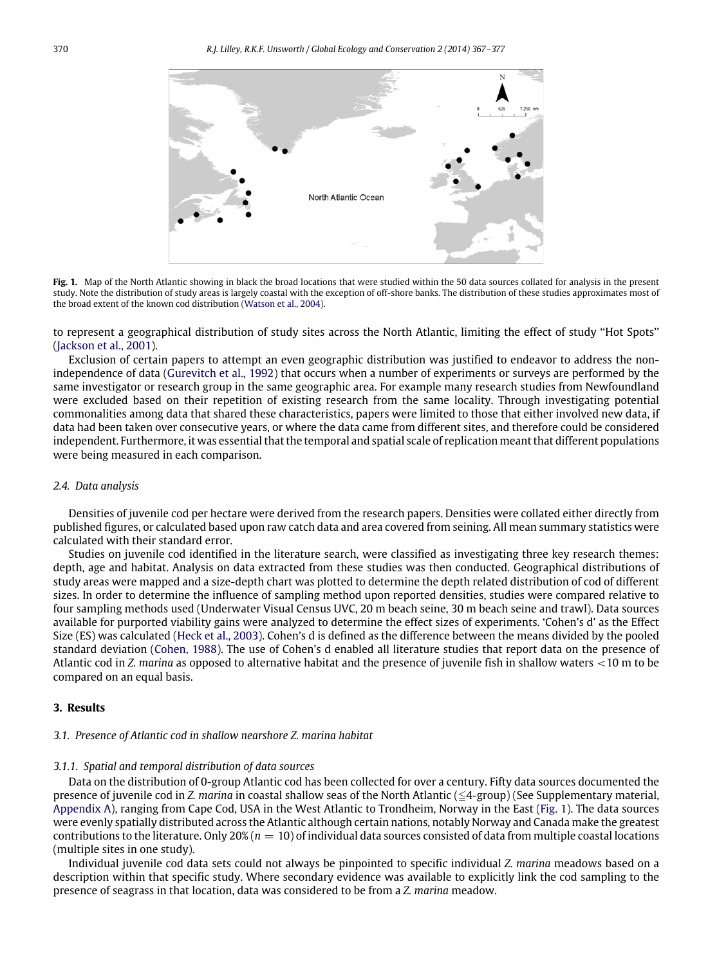

Fig. 1. Map of the North Atlantic showing in black the broad locations that were studied within the 50 data sources collated for analysis in the present study. Note the distribution of study areas is largely coastal with the exception of off-shore banks. The distribution of these studies approximates most of the broad extent of the known cod distribution (Watson et al., 2004).

to represent a geographical distribution of study sites across the North Atlantic, limiting the effect of study ''Hot Spots'' (Jackson et al., 2001).

Exclusion of certain papers to attempt an even geographic distribution was justified to endeavor to address the nonindependence of data (Gurevitch et al., 1992) that occurs when a number of experiments or surveys are performed by the same investigator or research group in the same geographic area. For example many research studies from Newfoundland were excluded based on their repetition of existing research from the same locality. Through investigating potential commonalities among data that shared these characteristics, papers were limited to those that either involved new data, if data had been taken over consecutive years, or where the data came from different sites, and therefore could be considered independent. Furthermore, it was essential that the temporal and spatial scale of replication meant that different populations were being measured in each comparison.

## *2.4. Data analysis*

Densities of juvenile cod per hectare were derived from the research papers. Densities were collated either directly from published figures, or calculated based upon raw catch data and area covered from seining. All mean summary statistics were calculated with their standard error.

Studies on juvenile cod identified in the literature search, were classified as investigating three key research themes: depth, age and habitat. Analysis on data extracted from these studies was then conducted. Geographical distributions of study areas were mapped and a size-depth chart was plotted to determine the depth related distribution of cod of different sizes. In order to determine the influence of sampling method upon reported densities, studies were compared relative to four sampling methods used (Underwater Visual Census UVC, 20 m beach seine, 30 m beach seine and trawl). Data sources available for purported viability gains were analyzed to determine the effect sizes of experiments. 'Cohen's d' as the Effect Size (ES) was calculated (Heck et al., 2003). Cohen's d is defined as the difference between the means divided by the pooled standard deviation (Cohen, 1988). The use of Cohen's d enabled all literature studies that report data on the presence of Atlantic cod in *Z. marina* as opposed to alternative habitat and the presence of juvenile fish in shallow waters <10 m to be compared on an equal basis.

# **3. Results**

#### *3.1. Presence of Atlantic cod in shallow nearshore Z. marina habitat*

#### *3.1.1. Spatial and temporal distribution of data sources*

Data on the distribution of 0-group Atlantic cod has been collected for over a century. Fifty data sources documented the presence of juvenile cod in *Z. marina* in coastal shallow seas of the North Atlantic ( $\leq$ 4-group) (See Supplementary material, Appendix A), ranging from Cape Cod, USA in the West Atlantic to Trondheim, Norway in the East (Fig. 1). The data sources were evenly spatially distributed across the Atlantic although certain nations, notably Norway and Canada make the greatest contributions to the literature. Only  $20\%$  ( $n = 10$ ) of individual data sources consisted of data from multiple coastal locations (multiple sites in one study).

Individual juvenile cod data sets could not always be pinpointed to specific individual *Z. marina* meadows based on a description within that specific study. Where secondary evidence was available to explicitly link the cod sampling to the presence of seagrass in that location, data was considered to be from a *Z. marina* meadow.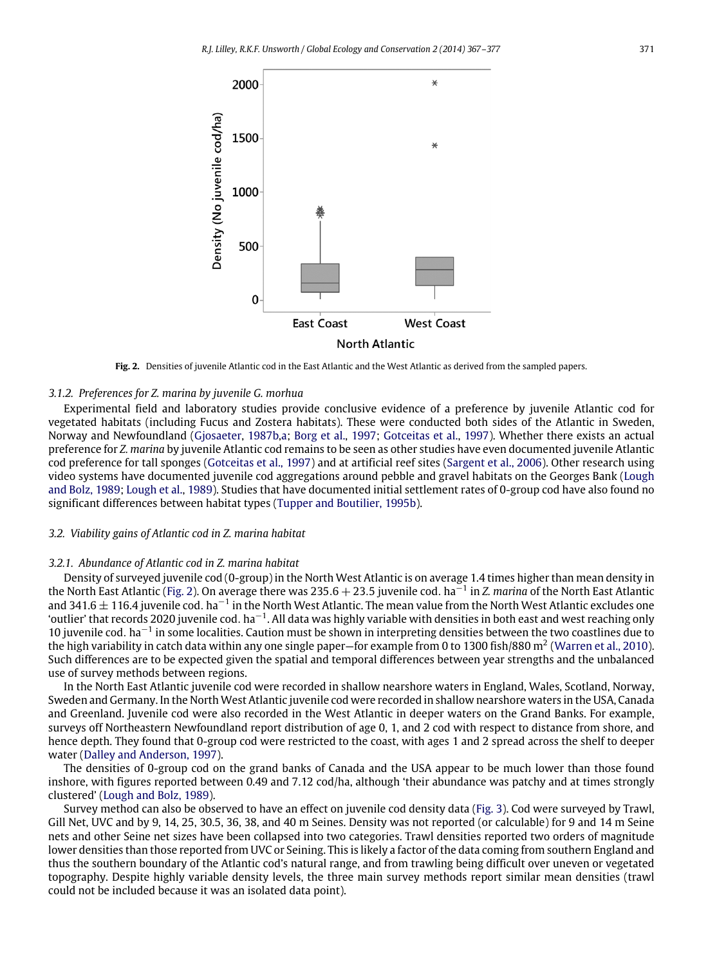

**Fig. 2.** Densities of juvenile Atlantic cod in the East Atlantic and the West Atlantic as derived from the sampled papers.

#### *3.1.2. Preferences for Z. marina by juvenile G. morhua*

Experimental field and laboratory studies provide conclusive evidence of a preference by juvenile Atlantic cod for vegetated habitats (including Fucus and Zostera habitats). These were conducted both sides of the Atlantic in Sweden, Norway and Newfoundland (Gjosaeter, 1987b,a; Borg et al., 1997; Gotceitas et al., 1997). Whether there exists an actual preference for *Z. marina* by juvenile Atlantic cod remains to be seen as other studies have even documented juvenile Atlantic cod preference for tall sponges (Gotceitas et al., 1997) and at artificial reef sites (Sargent et al., 2006). Other research using video systems have documented juvenile cod aggregations around pebble and gravel habitats on the Georges Bank (Lough and Bolz, 1989; Lough et al., 1989). Studies that have documented initial settlement rates of 0-group cod have also found no significant differences between habitat types (Tupper and Boutilier, 1995b).

#### *3.2. Viability gains of Atlantic cod in Z. marina habitat*

#### *3.2.1. Abundance of Atlantic cod in Z. marina habitat*

Density of surveyed juvenile cod (0-group) in the North West Atlantic is on average 1.4 times higher than mean density in the North East Atlantic (Fig. 2). On average there was 235.6 + 23.5 juvenile cod. ha−<sup>1</sup> in *Z. marina* of the North East Atlantic and 341.6 ± 116.4 juvenile cod. ha<sup>−1</sup> in the North West Atlantic. The mean value from the North West Atlantic excludes one 'outlier' that records 2020 juvenile cod. ha−<sup>1</sup> . All data was highly variable with densities in both east and west reaching only 10 juvenile cod. ha−<sup>1</sup> in some localities. Caution must be shown in interpreting densities between the two coastlines due to the high variability in catch data within any one single paper–for example from 0 to 1300 fish/880 m<sup>2</sup> (Warren et al., 2010). Such differences are to be expected given the spatial and temporal differences between year strengths and the unbalanced use of survey methods between regions.

In the North East Atlantic juvenile cod were recorded in shallow nearshore waters in England, Wales, Scotland, Norway, Sweden and Germany. In the North West Atlantic juvenile cod were recorded in shallow nearshore waters in the USA, Canada and Greenland. Juvenile cod were also recorded in the West Atlantic in deeper waters on the Grand Banks. For example, surveys off Northeastern Newfoundland report distribution of age 0, 1, and 2 cod with respect to distance from shore, and hence depth. They found that 0-group cod were restricted to the coast, with ages 1 and 2 spread across the shelf to deeper water (Dalley and Anderson, 1997).

The densities of 0-group cod on the grand banks of Canada and the USA appear to be much lower than those found inshore, with figures reported between 0.49 and 7.12 cod/ha, although 'their abundance was patchy and at times strongly clustered' (Lough and Bolz, 1989).

Survey method can also be observed to have an effect on juvenile cod density data (Fig. 3). Cod were surveyed by Trawl, Gill Net, UVC and by 9, 14, 25, 30.5, 36, 38, and 40 m Seines. Density was not reported (or calculable) for 9 and 14 m Seine nets and other Seine net sizes have been collapsed into two categories. Trawl densities reported two orders of magnitude lower densities than those reported from UVC or Seining. This is likely a factor of the data coming from southern England and thus the southern boundary of the Atlantic cod's natural range, and from trawling being difficult over uneven or vegetated topography. Despite highly variable density levels, the three main survey methods report similar mean densities (trawl could not be included because it was an isolated data point).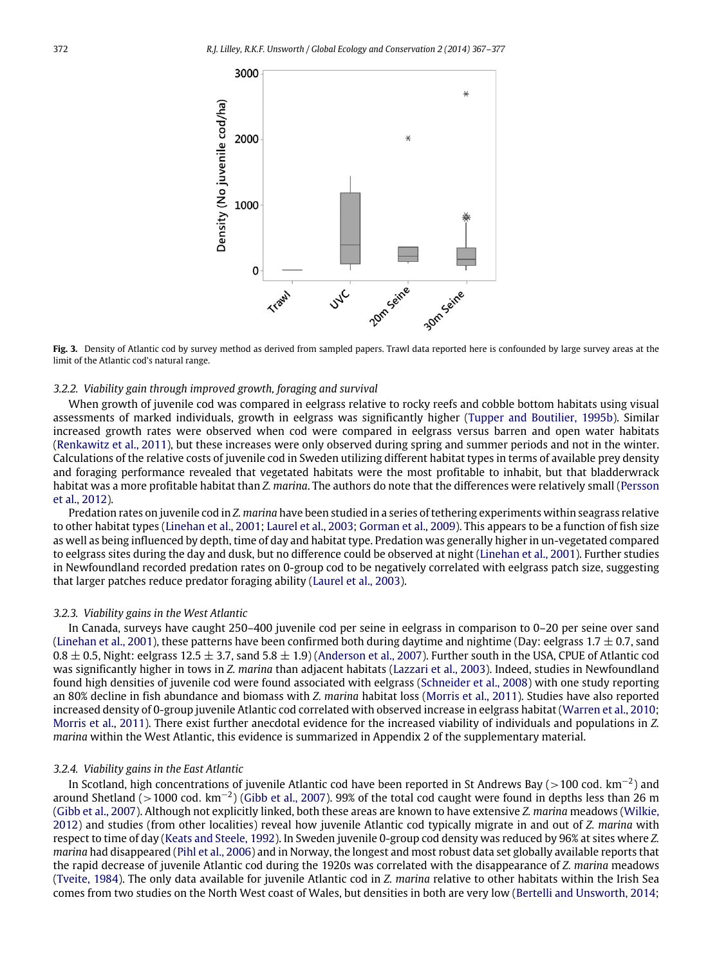

**Fig. 3.** Density of Atlantic cod by survey method as derived from sampled papers. Trawl data reported here is confounded by large survey areas at the limit of the Atlantic cod's natural range.

# *3.2.2. Viability gain through improved growth, foraging and survival*

When growth of juvenile cod was compared in eelgrass relative to rocky reefs and cobble bottom habitats using visual assessments of marked individuals, growth in eelgrass was significantly higher (Tupper and Boutilier, 1995b). Similar increased growth rates were observed when cod were compared in eelgrass versus barren and open water habitats (Renkawitz et al., 2011), but these increases were only observed during spring and summer periods and not in the winter. Calculations of the relative costs of juvenile cod in Sweden utilizing different habitat types in terms of available prey density and foraging performance revealed that vegetated habitats were the most profitable to inhabit, but that bladderwrack habitat was a more profitable habitat than *Z. marina*. The authors do note that the differences were relatively small (Persson et al., 2012).

Predation rates on juvenile cod in *Z. marina* have been studied in a series of tethering experiments within seagrass relative to other habitat types (Linehan et al., 2001; Laurel et al., 2003; Gorman et al., 2009). This appears to be a function of fish size as well as being influenced by depth, time of day and habitat type. Predation was generally higher in un-vegetated compared to eelgrass sites during the day and dusk, but no difference could be observed at night (Linehan et al., 2001). Further studies in Newfoundland recorded predation rates on 0-group cod to be negatively correlated with eelgrass patch size, suggesting that larger patches reduce predator foraging ability (Laurel et al., 2003).

#### *3.2.3. Viability gains in the West Atlantic*

In Canada, surveys have caught 250–400 juvenile cod per seine in eelgrass in comparison to 0–20 per seine over sand (Linehan et al., 2001), these patterns have been confirmed both during daytime and nightime (Day: eelgrass 1.7  $\pm$  0.7, sand  $0.8 \pm 0.5$ , Night: eelgrass 12.5  $\pm$  3.7, sand 5.8  $\pm$  1.9) (Anderson et al., 2007). Further south in the USA, CPUE of Atlantic cod was significantly higher in tows in *Z. marina* than adjacent habitats (Lazzari et al., 2003). Indeed, studies in Newfoundland found high densities of juvenile cod were found associated with eelgrass (Schneider et al., 2008) with one study reporting an 80% decline in fish abundance and biomass with *Z. marina* habitat loss (Morris et al., 2011). Studies have also reported increased density of 0-group juvenile Atlantic cod correlated with observed increase in eelgrass habitat (Warren et al., 2010; Morris et al., 2011). There exist further anecdotal evidence for the increased viability of individuals and populations in *Z. marina* within the West Atlantic, this evidence is summarized in Appendix 2 of the supplementary material.

#### *3.2.4. Viability gains in the East Atlantic*

In Scotland, high concentrations of juvenile Atlantic cod have been reported in St Andrews Bay (>100 cod. km−<sup>2</sup> ) and around Shetland (>1000 cod. km−<sup>2</sup> ) (Gibb et al., 2007). 99% of the total cod caught were found in depths less than 26 m (Gibb et al., 2007). Although not explicitly linked, both these areas are known to have extensive *Z. marina* meadows (Wilkie, 2012) and studies (from other localities) reveal how juvenile Atlantic cod typically migrate in and out of *Z. marina* with respect to time of day (Keats and Steele, 1992). In Sweden juvenile 0-group cod density was reduced by 96% at sites where *Z. marina* had disappeared (Pihl et al., 2006) and in Norway, the longest and most robust data set globally available reports that the rapid decrease of juvenile Atlantic cod during the 1920s was correlated with the disappearance of *Z. marina* meadows (Tveite, 1984). The only data available for juvenile Atlantic cod in *Z. marina* relative to other habitats within the Irish Sea comes from two studies on the North West coast of Wales, but densities in both are very low (Bertelli and Unsworth, 2014;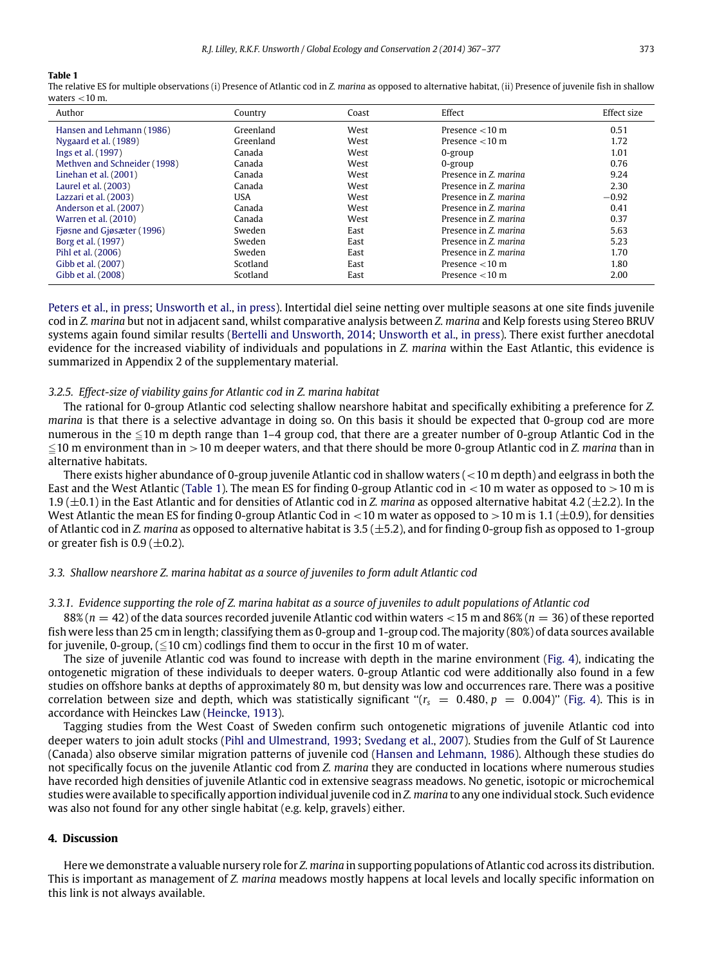#### **Table 1**

The relative ES for multiple observations (i) Presence of Atlantic cod in *Z. marina* as opposed to alternative habitat, (ii) Presence of juvenile fish in shallow waters  $<$  10 m.

| Author                       | Country   | Coast | Effect                | Effect size |
|------------------------------|-----------|-------|-----------------------|-------------|
| Hansen and Lehmann (1986)    | Greenland | West  | Presence $<$ 10 m     | 0.51        |
| Nygaard et al. (1989)        | Greenland | West  | Presence $<$ 10 m     | 1.72        |
| Ings et al. (1997)           | Canada    | West  | $0$ -group            | 1.01        |
| Methven and Schneider (1998) | Canada    | West  | $0$ -group            | 0.76        |
| Linehan et al. $(2001)$      | Canada    | West  | Presence in Z. marina | 9.24        |
| Laurel et al. (2003)         | Canada    | West  | Presence in Z. marina | 2.30        |
| Lazzari et al. (2003)        | USA       | West  | Presence in Z. marina | $-0.92$     |
| Anderson et al. (2007)       | Canada    | West  | Presence in Z. marina | 0.41        |
| Warren et al. (2010)         | Canada    | West  | Presence in Z. marina | 0.37        |
| Figsne and Gigsæter (1996)   | Sweden    | East  | Presence in Z. marina | 5.63        |
| Borg et al. (1997)           | Sweden    | East  | Presence in Z. marina | 5.23        |
| Pihl et al. (2006)           | Sweden    | East  | Presence in Z. marina | 1.70        |
| Gibb et al. (2007)           | Scotland  | East  | Presence $<$ 10 m     | 1.80        |
| Gibb et al. (2008)           | Scotland  | East  | Presence $<$ 10 m     | 2.00        |

Peters et al., in press; Unsworth et al., in press). Intertidal diel seine netting over multiple seasons at one site finds juvenile cod in *Z. marina* but not in adjacent sand, whilst comparative analysis between *Z. marina* and Kelp forests using Stereo BRUV systems again found similar results (Bertelli and Unsworth, 2014; Unsworth et al., in press). There exist further anecdotal evidence for the increased viability of individuals and populations in *Z. marina* within the East Atlantic, this evidence is summarized in Appendix 2 of the supplementary material.

#### *3.2.5. Effect-size of viability gains for Atlantic cod in Z. marina habitat*

The rational for 0-group Atlantic cod selecting shallow nearshore habitat and specifically exhibiting a preference for *Z. marina* is that there is a selective advantage in doing so. On this basis it should be expected that 0-group cod are more numerous in the  $\leq$ 10 m depth range than 1–4 group cod, that there are a greater number of 0-group Atlantic Cod in the  $\leq$ 10 m environment than in  $>$ 10 m deeper waters, and that there should be more 0-group Atlantic cod in *Z. marina* than in alternative habitats.

There exists higher abundance of 0-group juvenile Atlantic cod in shallow waters ( $<$ 10 m depth) and eelgrass in both the East and the West Atlantic (Table 1). The mean ES for finding 0-group Atlantic cod in  $\lt$ 10 m water as opposed to  $>10$  m is 1.9 (±0.1) in the East Atlantic and for densities of Atlantic cod in *Z. marina* as opposed alternative habitat 4.2 (±2.2). In the West Atlantic the mean ES for finding 0-group Atlantic Cod in  $<$  10 m water as opposed to  $>$  10 m is 1.1 ( $\pm$ 0.9), for densities of Atlantic cod in *Z. marina* as opposed to alternative habitat is 3.5 (±5.2), and for finding 0-group fish as opposed to 1-group or greater fish is  $0.9$  ( $\pm$ 0.2).

## *3.3. Shallow nearshore Z. marina habitat as a source of juveniles to form adult Atlantic cod*

#### *3.3.1. Evidence supporting the role of Z. marina habitat as a source of juveniles to adult populations of Atlantic cod*

88% (*n* = 42) of the data sources recorded juvenile Atlantic cod within waters <15 m and 86% (*n* = 36) of these reported fish were less than 25 cm in length; classifying them as 0-group and 1-group cod. The majority (80%) of data sources available for juvenile, 0-group,  $(\leq 10 \text{ cm})$  codlings find them to occur in the first 10 m of water.

The size of juvenile Atlantic cod was found to increase with depth in the marine environment (Fig. 4), indicating the ontogenetic migration of these individuals to deeper waters. 0-group Atlantic cod were additionally also found in a few studies on offshore banks at depths of approximately 80 m, but density was low and occurrences rare. There was a positive correlation between size and depth, which was statistically significant " $(r_s = 0.480, p = 0.004)$ " (Fig. 4). This is in accordance with Heinckes Law (Heincke, 1913).

Tagging studies from the West Coast of Sweden confirm such ontogenetic migrations of juvenile Atlantic cod into deeper waters to join adult stocks (Pihl and Ulmestrand, 1993; Svedang et al., 2007). Studies from the Gulf of St Laurence (Canada) also observe similar migration patterns of juvenile cod (Hansen and Lehmann, 1986). Although these studies do not specifically focus on the juvenile Atlantic cod from *Z. marina* they are conducted in locations where numerous studies have recorded high densities of juvenile Atlantic cod in extensive seagrass meadows. No genetic, isotopic or microchemical studies were available to specifically apportion individual juvenile cod in *Z. marina* to any one individual stock. Such evidence was also not found for any other single habitat (e.g. kelp, gravels) either.

## **4. Discussion**

Here we demonstrate a valuable nursery role for *Z. marina* in supporting populations of Atlantic cod across its distribution. This is important as management of *Z. marina* meadows mostly happens at local levels and locally specific information on this link is not always available.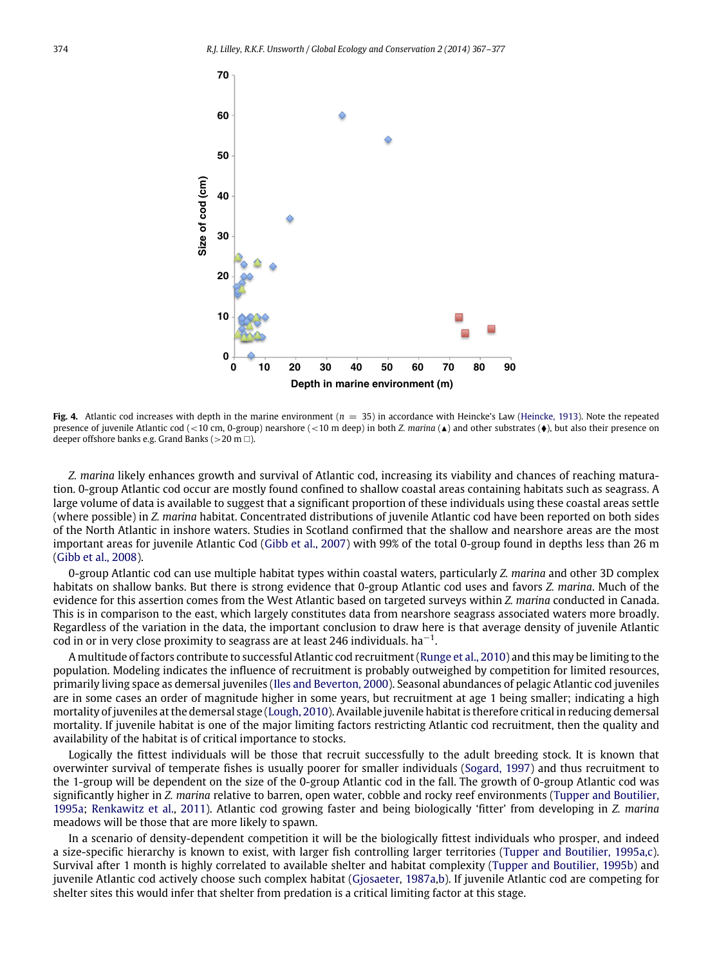

**Fig. 4.** Atlantic cod increases with depth in the marine environment (*n* = 35) in accordance with Heincke's Law (Heincke, 1913). Note the repeated presence of juvenile Atlantic cod (<10 cm, 0-group) nearshore (<10 m deep) in both *Z. marina* ( $\blacktriangle$ ) and other substrates ( $\blacklozenge$ ), but also their presence on deeper offshore banks e.g. Grand Banks ( $>$ 20 m $\Box$ ).

*Z. marina* likely enhances growth and survival of Atlantic cod, increasing its viability and chances of reaching maturation. 0-group Atlantic cod occur are mostly found confined to shallow coastal areas containing habitats such as seagrass. A large volume of data is available to suggest that a significant proportion of these individuals using these coastal areas settle (where possible) in *Z. marina* habitat. Concentrated distributions of juvenile Atlantic cod have been reported on both sides of the North Atlantic in inshore waters. Studies in Scotland confirmed that the shallow and nearshore areas are the most important areas for juvenile Atlantic Cod (Gibb et al., 2007) with 99% of the total 0-group found in depths less than 26 m (Gibb et al., 2008).

0-group Atlantic cod can use multiple habitat types within coastal waters, particularly *Z. marina* and other 3D complex habitats on shallow banks. But there is strong evidence that 0-group Atlantic cod uses and favors *Z. marina*. Much of the evidence for this assertion comes from the West Atlantic based on targeted surveys within *Z. marina* conducted in Canada. This is in comparison to the east, which largely constitutes data from nearshore seagrass associated waters more broadly. Regardless of the variation in the data, the important conclusion to draw here is that average density of juvenile Atlantic  $\overline{\text{cod}}$  in or in very close proximity to seagrass are at least 246 individuals. ha<sup>-1</sup>.

A multitude of factors contribute to successful Atlantic cod recruitment (Runge et al., 2010) and this may be limiting to the population. Modeling indicates the influence of recruitment is probably outweighed by competition for limited resources, primarily living space as demersal juveniles (Iles and Beverton, 2000). Seasonal abundances of pelagic Atlantic cod juveniles are in some cases an order of magnitude higher in some years, but recruitment at age 1 being smaller; indicating a high mortality of juveniles at the demersal stage (Lough, 2010). Available juvenile habitat is therefore critical in reducing demersal mortality. If juvenile habitat is one of the major limiting factors restricting Atlantic cod recruitment, then the quality and availability of the habitat is of critical importance to stocks.

Logically the fittest individuals will be those that recruit successfully to the adult breeding stock. It is known that overwinter survival of temperate fishes is usually poorer for smaller individuals (Sogard, 1997) and thus recruitment to the 1-group will be dependent on the size of the 0-group Atlantic cod in the fall. The growth of 0-group Atlantic cod was significantly higher in *Z. marina* relative to barren, open water, cobble and rocky reef environments (Tupper and Boutilier, 1995a; Renkawitz et al., 2011). Atlantic cod growing faster and being biologically 'fitter' from developing in *Z. marina* meadows will be those that are more likely to spawn.

In a scenario of density-dependent competition it will be the biologically fittest individuals who prosper, and indeed a size-specific hierarchy is known to exist, with larger fish controlling larger territories (Tupper and Boutilier, 1995a,c). Survival after 1 month is highly correlated to available shelter and habitat complexity (Tupper and Boutilier, 1995b) and juvenile Atlantic cod actively choose such complex habitat (Gjosaeter, 1987a,b). If juvenile Atlantic cod are competing for shelter sites this would infer that shelter from predation is a critical limiting factor at this stage.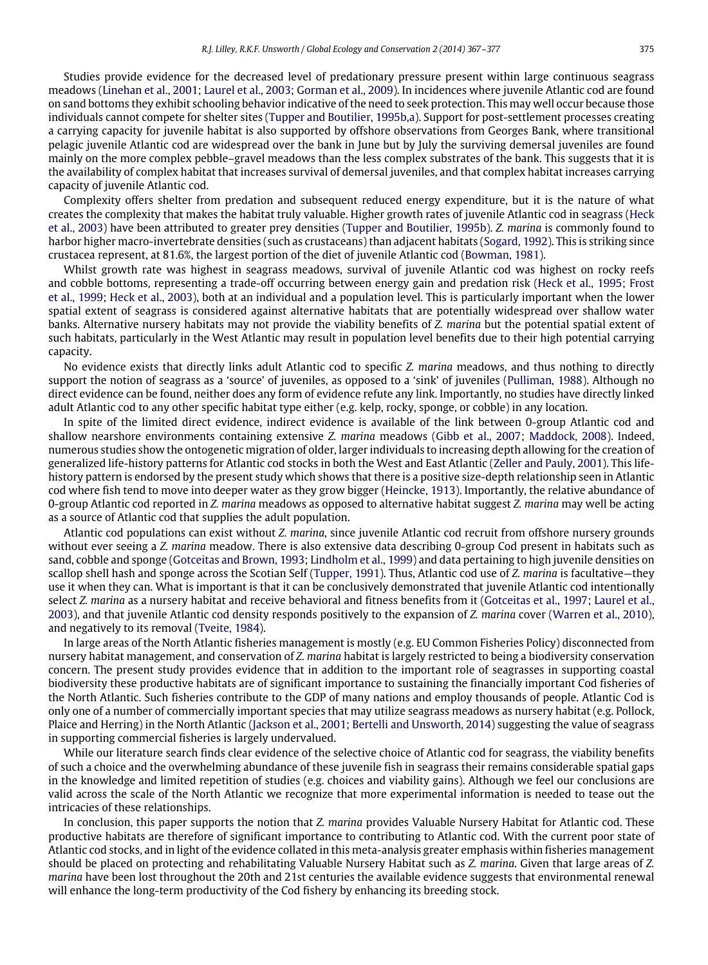Studies provide evidence for the decreased level of predationary pressure present within large continuous seagrass meadows (Linehan et al., 2001; Laurel et al., 2003; Gorman et al., 2009). In incidences where juvenile Atlantic cod are found on sand bottoms they exhibit schooling behavior indicative of the need to seek protection. This may well occur because those individuals cannot compete for shelter sites (Tupper and Boutilier, 1995b,a). Support for post-settlement processes creating a carrying capacity for juvenile habitat is also supported by offshore observations from Georges Bank, where transitional pelagic juvenile Atlantic cod are widespread over the bank in June but by July the surviving demersal juveniles are found mainly on the more complex pebble–gravel meadows than the less complex substrates of the bank. This suggests that it is the availability of complex habitat that increases survival of demersal juveniles, and that complex habitat increases carrying capacity of juvenile Atlantic cod.

Complexity offers shelter from predation and subsequent reduced energy expenditure, but it is the nature of what creates the complexity that makes the habitat truly valuable. Higher growth rates of juvenile Atlantic cod in seagrass (Heck et al., 2003) have been attributed to greater prey densities (Tupper and Boutilier, 1995b). *Z. marina* is commonly found to harbor higher macro-invertebrate densities (such as crustaceans) than adjacent habitats (Sogard, 1992). This is striking since crustacea represent, at 81.6%, the largest portion of the diet of juvenile Atlantic cod (Bowman, 1981).

Whilst growth rate was highest in seagrass meadows, survival of juvenile Atlantic cod was highest on rocky reefs and cobble bottoms, representing a trade-off occurring between energy gain and predation risk (Heck et al., 1995; Frost et al., 1999; Heck et al., 2003), both at an individual and a population level. This is particularly important when the lower spatial extent of seagrass is considered against alternative habitats that are potentially widespread over shallow water banks. Alternative nursery habitats may not provide the viability benefits of *Z. marina* but the potential spatial extent of such habitats, particularly in the West Atlantic may result in population level benefits due to their high potential carrying capacity.

No evidence exists that directly links adult Atlantic cod to specific *Z. marina* meadows, and thus nothing to directly support the notion of seagrass as a 'source' of juveniles, as opposed to a 'sink' of juveniles (Pulliman, 1988). Although no direct evidence can be found, neither does any form of evidence refute any link. Importantly, no studies have directly linked adult Atlantic cod to any other specific habitat type either (e.g. kelp, rocky, sponge, or cobble) in any location.

In spite of the limited direct evidence, indirect evidence is available of the link between 0-group Atlantic cod and shallow nearshore environments containing extensive *Z. marina* meadows (Gibb et al., 2007; Maddock, 2008). Indeed, numerous studies show the ontogenetic migration of older, larger individuals to increasing depth allowing for the creation of generalized life-history patterns for Atlantic cod stocks in both the West and East Atlantic (Zeller and Pauly, 2001). This lifehistory pattern is endorsed by the present study which shows that there is a positive size-depth relationship seen in Atlantic cod where fish tend to move into deeper water as they grow bigger (Heincke, 1913). Importantly, the relative abundance of 0-group Atlantic cod reported in *Z. marina* meadows as opposed to alternative habitat suggest *Z. marina* may well be acting as a source of Atlantic cod that supplies the adult population.

Atlantic cod populations can exist without *Z. marina*, since juvenile Atlantic cod recruit from offshore nursery grounds without ever seeing a *Z. marina* meadow. There is also extensive data describing 0-group Cod present in habitats such as sand, cobble and sponge (Gotceitas and Brown, 1993; Lindholm et al., 1999) and data pertaining to high juvenile densities on scallop shell hash and sponge across the Scotian Self (Tupper, 1991). Thus, Atlantic cod use of *Z. marina* is facultative—they use it when they can. What is important is that it can be conclusively demonstrated that juvenile Atlantic cod intentionally select *Z. marina* as a nursery habitat and receive behavioral and fitness benefits from it (Gotceitas et al., 1997; Laurel et al., 2003), and that juvenile Atlantic cod density responds positively to the expansion of *Z. marina* cover (Warren et al., 2010), and negatively to its removal (Tveite, 1984).

In large areas of the North Atlantic fisheries management is mostly (e.g. EU Common Fisheries Policy) disconnected from nursery habitat management, and conservation of *Z. marina* habitat is largely restricted to being a biodiversity conservation concern. The present study provides evidence that in addition to the important role of seagrasses in supporting coastal biodiversity these productive habitats are of significant importance to sustaining the financially important Cod fisheries of the North Atlantic. Such fisheries contribute to the GDP of many nations and employ thousands of people. Atlantic Cod is only one of a number of commercially important species that may utilize seagrass meadows as nursery habitat (e.g. Pollock, Plaice and Herring) in the North Atlantic (Jackson et al., 2001; Bertelli and Unsworth, 2014) suggesting the value of seagrass in supporting commercial fisheries is largely undervalued.

While our literature search finds clear evidence of the selective choice of Atlantic cod for seagrass, the viability benefits of such a choice and the overwhelming abundance of these juvenile fish in seagrass their remains considerable spatial gaps in the knowledge and limited repetition of studies (e.g. choices and viability gains). Although we feel our conclusions are valid across the scale of the North Atlantic we recognize that more experimental information is needed to tease out the intricacies of these relationships.

In conclusion, this paper supports the notion that *Z. marina* provides Valuable Nursery Habitat for Atlantic cod. These productive habitats are therefore of significant importance to contributing to Atlantic cod. With the current poor state of Atlantic cod stocks, and in light of the evidence collated in this meta-analysis greater emphasis within fisheries management should be placed on protecting and rehabilitating Valuable Nursery Habitat such as *Z. marina*. Given that large areas of *Z. marina* have been lost throughout the 20th and 21st centuries the available evidence suggests that environmental renewal will enhance the long-term productivity of the Cod fishery by enhancing its breeding stock.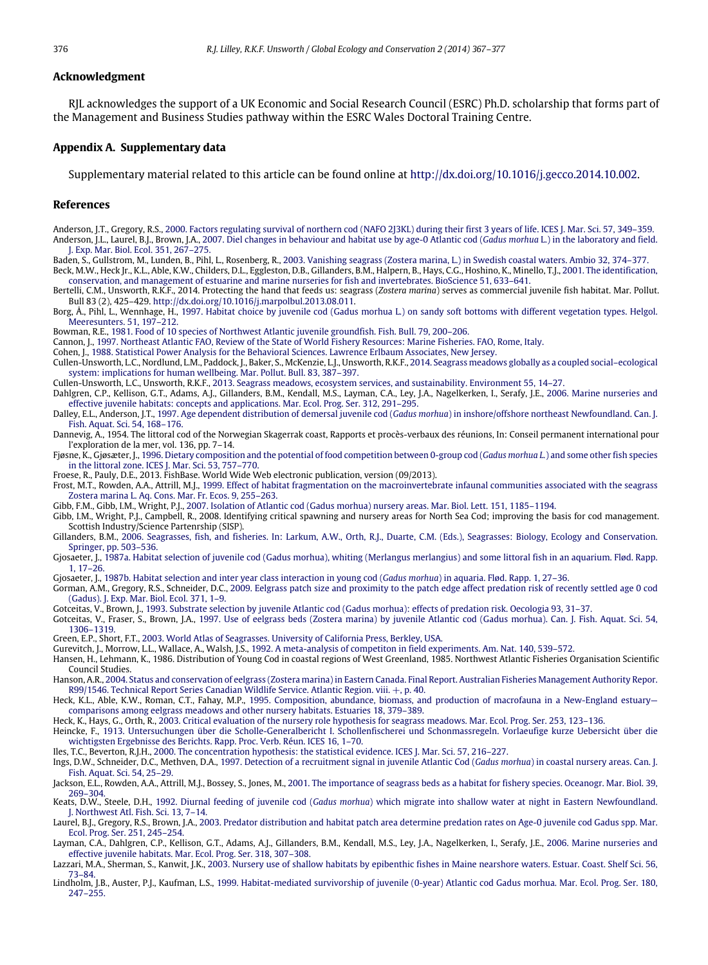#### **Acknowledgment**

RJL acknowledges the support of a UK Economic and Social Research Council (ESRC) Ph.D. scholarship that forms part of the Management and Business Studies pathway within the ESRC Wales Doctoral Training Centre.

## **Appendix A. Supplementary data**

Supplementary material related to this article can be found online at http://dx.doi.org/10.1016/j.gecco.2014.10.002.

#### **References**

- Anderson, J.T., Gregory, R.S., 2000. Factors regulating survival of northern cod (NAFO 2J3KL) during their first 3 years of life. ICES J. Mar. Sci. 57, 349–359. Anderson, J.L., Laurel, B.J., Brown, J.A., 2007. Diel changes in behaviour and habitat use by age-0 Atlantic cod (*Gadus morhua* L.) in the laboratory and field. J. Exp. Mar. Biol. Ecol. 351, 267–275.
- Baden, S., Gullstrom, M., Lunden, B., Pihl, L., Rosenberg, R., 2003. Vanishing seagrass (Zostera marina, L.) in Swedish coastal waters. Ambio 32, 374–377. Beck, M.W., Heck Jr., K.L., Able, K.W., Childers, D.L., Eggleston, D.B., Gillanders, B.M., Halpern, B., Hays, C.G., Hoshino, K., Minello, T.J., 2001. The identification, conservation, and management of estuarine and marine nurseries for fish and invertebrates. BioScience 51, 633–641.

Bertelli, C.M., Unsworth, R.K.F., 2014. Protecting the hand that feeds us: seagrass (*Zostera marina*) serves as commercial juvenile fish habitat. Mar. Pollut. Bull 83 (2), 425–429. http://dx.doi.org/10.1016/j.marpolbul.2013.08.011.

Borg, Å., Pihl, L., Wennhage, H., 1997. Habitat choice by juvenile cod (Gadus morhua L.) on sandy soft bottoms with different vegetation types. Helgol. Meeresunters. 51, 197–212.

Bowman, R.E., 1981. Food of 10 species of Northwest Atlantic juvenile groundfish. Fish. Bull. 79, 200–206.

- Cannon, J., 1997. Northeast Atlantic FAO, Review of the State of World Fishery Resources: Marine Fisheries. FAO, Rome, Italy.
- Cohen, J., 1988. Statistical Power Analysis for the Behavioral Sciences. Lawrence Erlbaum Associates, New Jersey.
- Cullen-Unsworth, L.C., Nordlund, L.M., Paddock, J., Baker, S., McKenzie, L.J., Unsworth, R.K.F., 2014. Seagrass meadows globally as a coupled social–ecological<br>system: implications for human wellbeing. Mar. Pollut. Bull. 8

Cullen-Unsworth, L.C., Unsworth, R.K.F., 2013. Seagrass meadows, ecosystem services, and sustainability. Environment 55, 14–27.

- Dahlgren, C.P., Kellison, G.T., Adams, A.J., Gillanders, B.M., Kendall, M.S., Layman, C.A., Ley, J.A., Nagelkerken, I., Serafy, J.E., 2006. Marine nurseries and effective juvenile habitats: concepts and applications. Mar. Ecol. Prog. Ser. 312, 291–295.
- Dalley, E.L., Anderson, J.T., 1997. Age dependent distribution of demersal juvenile cod (*Gadus morhua*) in inshore/offshore northeast Newfoundland. Can. J. Fish. Aquat. Sci. 54, 168–176.
- Dannevig, A., 1954. The littoral cod of the Norwegian Skagerrak coast, Rapports et procès-verbaux des réunions, In: Conseil permanent international pour l'exploration de la mer, vol. 136, pp. 7–14.
- Fjøsne, K., Gjøsæter, J., 1996. Dietary composition and the potential of food competition between 0-group cod (*Gadus morhua L.*) and some other fish species in the littoral zone. ICES J. Mar. Sci. 53, 757–770.

Froese, R., Pauly, D.E., 2013. FishBase. World Wide Web electronic publication, version (09/2013).

- Frost, M.T., Rowden, A.A., Attrill, M.J., 1999. Effect of habitat fragmentation on the macroinvertebrate infaunal communities associated with the seagrass Zostera marina L. Aq. Cons. Mar. Fr. Ecos. 9, 255–263.
- Gibb, F.M., Gibb, I.M., Wright, P.J., 2007. Isolation of Atlantic cod (Gadus morhua) nursery areas. Mar. Biol. Lett. 151, 1185–1194.
- Gibb, I.M., Wright, P.J., Campbell, R., 2008. Identifying critical spawning and nursery areas for North Sea Cod; improving the basis for cod management. Scottish Industry/Science Partenrship (SISP).
- Gillanders, B.M., 2006. Seagrasses, fish, and fisheries. In: Larkum, A.W., Orth, R.J., Duarte, C.M. (Eds.), Seagrasses: Biology, Ecology and Conservation. Springer, pp. 503–536.
- Gjosaeter, J., 1987a. Habitat selection of juvenile cod (Gadus morhua), whiting (Merlangus merlangius) and some littoral fish in an aquarium. Flød. Rapp. 1, 17–26.
- Gjosaeter, J., 1987b. Habitat selection and inter year class interaction in young cod (*Gadus morhua*) in aquaria. Flød. Rapp. 1, 27–36.
- Gorman, A.M., Gregory, R.S., Schneider, D.C., 2009. Eelgrass patch size and proximity to the patch edge affect predation risk of recently settled age 0 cod (Gadus). J. Exp. Mar. Biol. Ecol. 371, 1–9.
- Gotceitas, V., Brown, J., 1993. Substrate selection by juvenile Atlantic cod (Gadus morhua): effects of predation risk. Oecologia 93, 31–37.
- Gotceitas, V., Fraser, S., Brown, J.A., 1997. Use of eelgrass beds (Zostera marina) by juvenile Atlantic cod (Gadus morhua). Can. J. Fish. Aquat. Sci. 54, 1306–1319.

Green, E.P., Short, F.T., 2003. World Atlas of Seagrasses. University of California Press, Berkley, USA.

- Gurevitch, J., Morrow, L.L., Wallace, A., Walsh, J.S., 1992. A meta-analysis of competiton in field experiments. Am. Nat. 140, 539–572.
- Hansen, H., Lehmann, K., 1986. Distribution of Young Cod in coastal regions of West Greenland, 1985. Northwest Atlantic Fisheries Organisation Scientific Council Studies.
- Hanson, A.R., 2004. Status and conservation of eelgrass (Zostera marina) in Eastern Canada. Final Report. Australian Fisheries Management Authority Repor. R99/1546. Technical Report Series Canadian Wildlife Service. Atlantic Region. viii. +, p. 40.
- Heck, K.L., Able, K.W., Roman, C.T., Fahay, M.P., 1995. Composition, abundance, biomass, and production of macrofauna in a New-England estuary comparisons among eelgrass meadows and other nursery habitats. Estuaries 18, 379–389.
- Heck, K., Hays, G., Orth, R., 2003. Critical evaluation of the nursery role hypothesis for seagrass meadows. Mar. Ecol. Prog. Ser. 253, 123–136.<br>Heincke, F., 1913. Untersuchungen über die Scholle-Generalbericht I. Schollen
- wichtigsten Ergebnisse des Berichts. Rapp. Proc. Verb. Réun. ICES 16, 1–70.

Iles, T.C., Beverton, R.J.H., 2000. The concentration hypothesis: the statistical evidence. ICES J. Mar. Sci. 57, 216–227.

- Ings, D.W., Schneider, D.C., Methven, D.A., 1997. Detection of a recruitment signal in juvenile Atlantic Cod (*Gadus morhua*) in coastal nursery areas. Can. J. Fish. Aquat. Sci. 54, 25–29.
- Jackson, E.L., Rowden, A.A., Attrill, M.J., Bossey, S., Jones, M., 2001. The importance of seagrass beds as a habitat for fishery species. Oceanogr. Mar. Biol. 39, 269–304.
- Keats, D.W., Steele, D.H., 1992. Diurnal feeding of juvenile cod (*Gadus morhua*) which migrate into shallow water at night in Eastern Newfoundland. J. Northwest Atl. Fish. Sci. 13, 7–14.
- Laurel, B.J., Gregory, R.S., Brown, J.A., 2003. Predator distribution and habitat patch area determine predation rates on Age-0 juvenile cod Gadus spp. Mar. Ecol. Prog. Ser. 251, 245–254.
- Layman, C.A., Dahlgren, C.P., Kellison, G.T., Adams, A.J., Gillanders, B.M., Kendall, M.S., Ley, J.A., Nagelkerken, I., Serafy, J.E., 2006. Marine nurseries and effective juvenile habitats. Mar. Ecol. Prog. Ser. 318, 307–308.
- Lazzari, M.A., Sherman, S., Kanwit, J.K., 2003. Nursery use of shallow habitats by epibenthic fishes in Maine nearshore waters. Estuar. Coast. Shelf Sci. 56, 73–84.
- Lindholm, J.B., Auster, P.J., Kaufman, L.S., 1999. Habitat-mediated survivorship of juvenile (0-year) Atlantic cod Gadus morhua. Mar. Ecol. Prog. Ser. 180, 247–255.